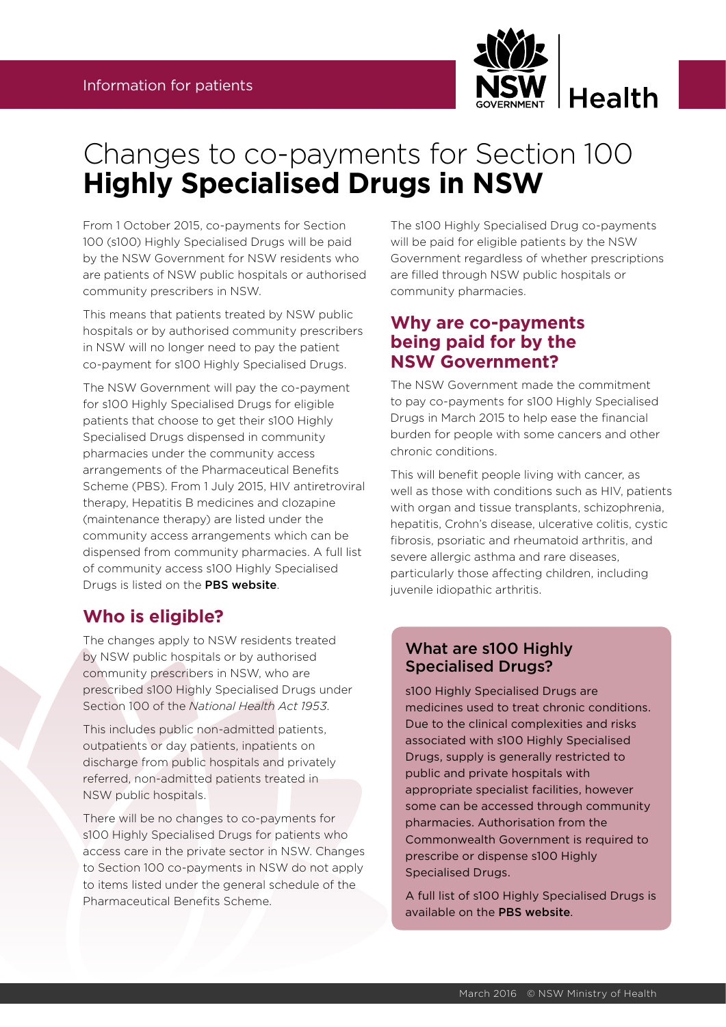

# Changes to co-payments for Section 100 **Highly Specialised Drugs in NSW**

From 1 October 2015, co-payments for Section 100 (s100) Highly Specialised Drugs will be paid by the NSW Government for NSW residents who are patients of NSW public hospitals or authorised community prescribers in NSW.

This means that patients treated by NSW public hospitals or by authorised community prescribers in NSW will no longer need to pay the patient co-payment for s100 Highly Specialised Drugs.

The NSW Government will pay the co-payment for s100 Highly Specialised Drugs for eligible patients that choose to get their s100 Highly Specialised Drugs dispensed in community pharmacies under the community access arrangements of the Pharmaceutical Benefits Scheme (PBS). From 1 July 2015, HIV antiretroviral therapy, Hepatitis B medicines and clozapine (maintenance therapy) are listed under the community access arrangements which can be dispensed from community pharmacies. A full list of community access s100 Highly Specialised Drugs is listed on the [PBS website](http://www.pbs.gov.au/browse/section100-ca).

## **Who is eligible?**

The changes apply to NSW residents treated by NSW public hospitals or by authorised community prescribers in NSW, who are prescribed s100 Highly Specialised Drugs under Section 100 of the *National Health Act 1953*.

This includes public non-admitted patients, outpatients or day patients, inpatients on discharge from public hospitals and privately referred, non-admitted patients treated in NSW public hospitals.

There will be no changes to co-payments for s100 Highly Specialised Drugs for patients who access care in the private sector in NSW. Changes to Section 100 co-payments in NSW do not apply to items listed under the general schedule of the Pharmaceutical Benefits Scheme.

The s100 Highly Specialised Drug co-payments will be paid for eligible patients by the NSW Government regardless of whether prescriptions are filled through NSW public hospitals or community pharmacies.

## **Why are co-payments being paid for by the NSW Government?**

The NSW Government made the commitment to pay co-payments for s100 Highly Specialised Drugs in March 2015 to help ease the financial burden for people with some cancers and other chronic conditions.

This will benefit people living with cancer, as well as those with conditions such as HIV, patients with organ and tissue transplants, schizophrenia, hepatitis, Crohn's disease, ulcerative colitis, cystic fibrosis, psoriatic and rheumatoid arthritis, and severe allergic asthma and rare diseases, particularly those affecting children, including juvenile idiopathic arthritis.

#### What are s100 Highly Specialised Drugs?

s100 Highly Specialised Drugs are medicines used to treat chronic conditions. Due to the clinical complexities and risks associated with s100 Highly Specialised Drugs, supply is generally restricted to public and private hospitals with appropriate specialist facilities, however some can be accessed through community pharmacies. Authorisation from the Commonwealth Government is required to prescribe or dispense s100 Highly Specialised Drugs.

A full list of s100 Highly Specialised Drugs is available on the [PBS website](http://www.pbs.gov.au/info/browse/section-100/s100-highly-specialised-drugs).